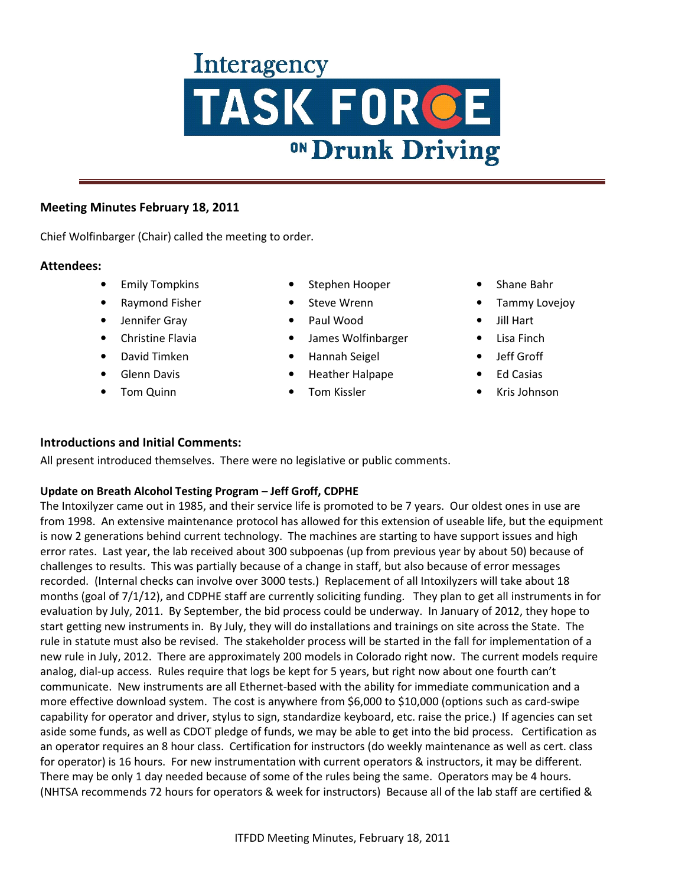# **Interagency** TASK FORCE <sup>ON</sup> Drunk Driving

## **Meeting Minutes February 18, 2011**

Chief Wolfinbarger (Chair) called the meeting to order.

### **Attendees:**

- Emily Tompkins
- Raymond Fisher
- Jennifer Gray
- Christine Flavia
- David Timken
- Glenn Davis
- Tom Quinn
- Stephen Hooper
- Steve Wrenn
- Paul Wood
- James Wolfinbarger
- Hannah Seigel
- Heather Halpape
- Tom Kissler
- Shane Bahr
- Tammy Lovejoy
- Jill Hart
- Lisa Finch
- Jeff Groff
- **Ed Casias**
- Kris Johnson

# **Introductions and Initial Comments:**

All present introduced themselves. There were no legislative or public comments.

### **Update on Breath Alcohol Testing Program – Jeff Groff, CDPHE**

The Intoxilyzer came out in 1985, and their service life is promoted to be 7 years. Our oldest ones in use are from 1998. An extensive maintenance protocol has allowed for this extension of useable life, but the equipment is now 2 generations behind current technology. The machines are starting to have support issues and high error rates. Last year, the lab received about 300 subpoenas (up from previous year by about 50) because of challenges to results. This was partially because of a change in staff, but also because of error messages recorded. (Internal checks can involve over 3000 tests.) Replacement of all Intoxilyzers will take about 18 months (goal of 7/1/12), and CDPHE staff are currently soliciting funding. They plan to get all instruments in for evaluation by July, 2011. By September, the bid process could be underway. In January of 2012, they hope to start getting new instruments in. By July, they will do installations and trainings on site across the State. The rule in statute must also be revised. The stakeholder process will be started in the fall for implementation of a new rule in July, 2012. There are approximately 200 models in Colorado right now. The current models require analog, dial-up access. Rules require that logs be kept for 5 years, but right now about one fourth can't communicate. New instruments are all Ethernet-based with the ability for immediate communication and a more effective download system. The cost is anywhere from \$6,000 to \$10,000 (options such as card-swipe capability for operator and driver, stylus to sign, standardize keyboard, etc. raise the price.) If agencies can set aside some funds, as well as CDOT pledge of funds, we may be able to get into the bid process. Certification as an operator requires an 8 hour class. Certification for instructors (do weekly maintenance as well as cert. class for operator) is 16 hours. For new instrumentation with current operators & instructors, it may be different. There may be only 1 day needed because of some of the rules being the same. Operators may be 4 hours. (NHTSA recommends 72 hours for operators & week for instructors) Because all of the lab staff are certified &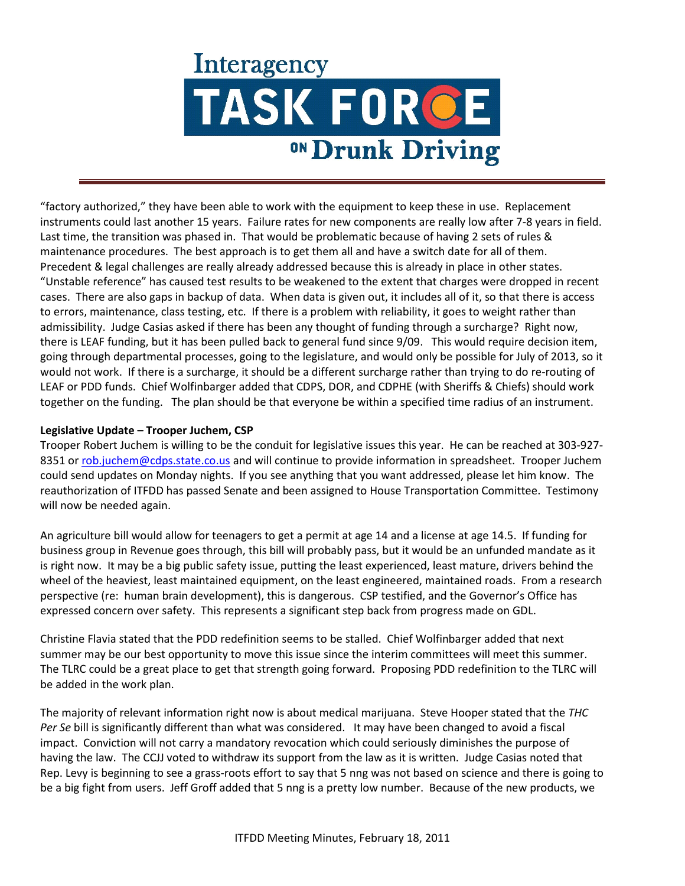# Interagency TASK FORCE <sup>ON</sup> Drunk Driving

"factory authorized," they have been able to work with the equipment to keep these in use. Replacement instruments could last another 15 years. Failure rates for new components are really low after 7-8 years in field. Last time, the transition was phased in. That would be problematic because of having 2 sets of rules & maintenance procedures. The best approach is to get them all and have a switch date for all of them. Precedent & legal challenges are really already addressed because this is already in place in other states. "Unstable reference" has caused test results to be weakened to the extent that charges were dropped in recent cases. There are also gaps in backup of data. When data is given out, it includes all of it, so that there is access to errors, maintenance, class testing, etc. If there is a problem with reliability, it goes to weight rather than admissibility. Judge Casias asked if there has been any thought of funding through a surcharge? Right now, there is LEAF funding, but it has been pulled back to general fund since 9/09. This would require decision item, going through departmental processes, going to the legislature, and would only be possible for July of 2013, so it would not work. If there is a surcharge, it should be a different surcharge rather than trying to do re-routing of LEAF or PDD funds. Chief Wolfinbarger added that CDPS, DOR, and CDPHE (with Sheriffs & Chiefs) should work together on the funding. The plan should be that everyone be within a specified time radius of an instrument.

#### **Legislative Update – Trooper Juchem, CSP**

Trooper Robert Juchem is willing to be the conduit for legislative issues this year. He can be reached at 303-927- 8351 or rob.juchem@cdps.state.co.us and will continue to provide information in spreadsheet. Trooper Juchem could send updates on Monday nights. If you see anything that you want addressed, please let him know. The reauthorization of ITFDD has passed Senate and been assigned to House Transportation Committee. Testimony will now be needed again.

An agriculture bill would allow for teenagers to get a permit at age 14 and a license at age 14.5. If funding for business group in Revenue goes through, this bill will probably pass, but it would be an unfunded mandate as it is right now. It may be a big public safety issue, putting the least experienced, least mature, drivers behind the wheel of the heaviest, least maintained equipment, on the least engineered, maintained roads. From a research perspective (re: human brain development), this is dangerous. CSP testified, and the Governor's Office has expressed concern over safety. This represents a significant step back from progress made on GDL.

Christine Flavia stated that the PDD redefinition seems to be stalled. Chief Wolfinbarger added that next summer may be our best opportunity to move this issue since the interim committees will meet this summer. The TLRC could be a great place to get that strength going forward. Proposing PDD redefinition to the TLRC will be added in the work plan.

The majority of relevant information right now is about medical marijuana. Steve Hooper stated that the *THC Per Se* bill is significantly different than what was considered. It may have been changed to avoid a fiscal impact. Conviction will not carry a mandatory revocation which could seriously diminishes the purpose of having the law. The CCJJ voted to withdraw its support from the law as it is written. Judge Casias noted that Rep. Levy is beginning to see a grass-roots effort to say that 5 nng was not based on science and there is going to be a big fight from users. Jeff Groff added that 5 nng is a pretty low number. Because of the new products, we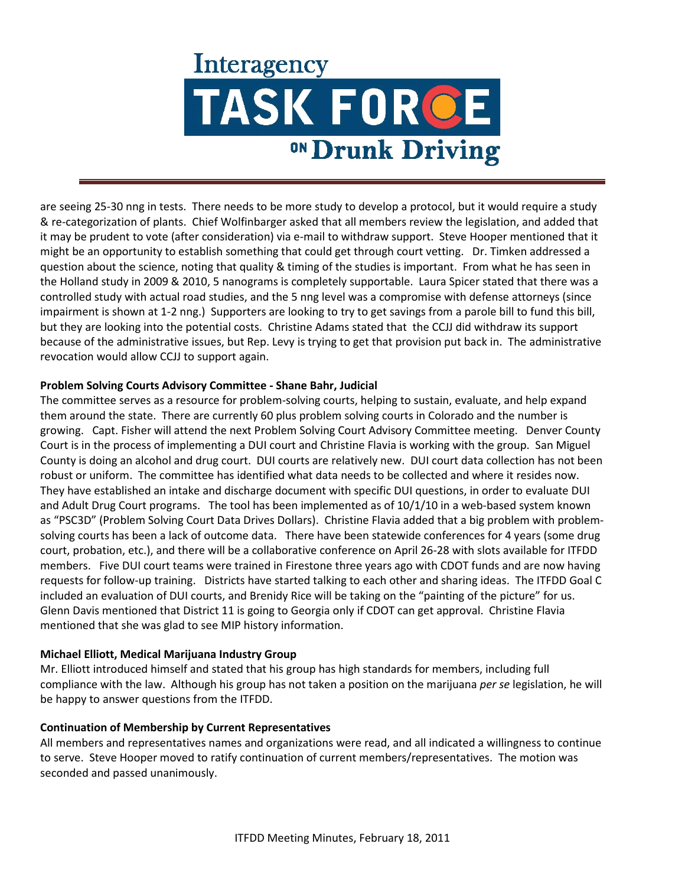# **Interagency** TASK FORCE <sup>ON</sup> Drunk Driving

are seeing 25-30 nng in tests. There needs to be more study to develop a protocol, but it would require a study & re-categorization of plants. Chief Wolfinbarger asked that all members review the legislation, and added that it may be prudent to vote (after consideration) via e-mail to withdraw support. Steve Hooper mentioned that it might be an opportunity to establish something that could get through court vetting. Dr. Timken addressed a question about the science, noting that quality & timing of the studies is important. From what he has seen in the Holland study in 2009 & 2010, 5 nanograms is completely supportable. Laura Spicer stated that there was a controlled study with actual road studies, and the 5 nng level was a compromise with defense attorneys (since impairment is shown at 1-2 nng.) Supporters are looking to try to get savings from a parole bill to fund this bill, but they are looking into the potential costs. Christine Adams stated that the CCJJ did withdraw its support because of the administrative issues, but Rep. Levy is trying to get that provision put back in. The administrative revocation would allow CCJJ to support again.

### **Problem Solving Courts Advisory Committee - Shane Bahr, Judicial**

The committee serves as a resource for problem-solving courts, helping to sustain, evaluate, and help expand them around the state. There are currently 60 plus problem solving courts in Colorado and the number is growing. Capt. Fisher will attend the next Problem Solving Court Advisory Committee meeting. Denver County Court is in the process of implementing a DUI court and Christine Flavia is working with the group. San Miguel County is doing an alcohol and drug court. DUI courts are relatively new. DUI court data collection has not been robust or uniform. The committee has identified what data needs to be collected and where it resides now. They have established an intake and discharge document with specific DUI questions, in order to evaluate DUI and Adult Drug Court programs. The tool has been implemented as of 10/1/10 in a web-based system known as "PSC3D" (Problem Solving Court Data Drives Dollars). Christine Flavia added that a big problem with problemsolving courts has been a lack of outcome data. There have been statewide conferences for 4 years (some drug court, probation, etc.), and there will be a collaborative conference on April 26-28 with slots available for ITFDD members. Five DUI court teams were trained in Firestone three years ago with CDOT funds and are now having requests for follow-up training. Districts have started talking to each other and sharing ideas. The ITFDD Goal C included an evaluation of DUI courts, and Brenidy Rice will be taking on the "painting of the picture" for us. Glenn Davis mentioned that District 11 is going to Georgia only if CDOT can get approval. Christine Flavia mentioned that she was glad to see MIP history information.

#### **Michael Elliott, Medical Marijuana Industry Group**

Mr. Elliott introduced himself and stated that his group has high standards for members, including full compliance with the law. Although his group has not taken a position on the marijuana *per se* legislation, he will be happy to answer questions from the ITFDD.

#### **Continuation of Membership by Current Representatives**

All members and representatives names and organizations were read, and all indicated a willingness to continue to serve. Steve Hooper moved to ratify continuation of current members/representatives. The motion was seconded and passed unanimously.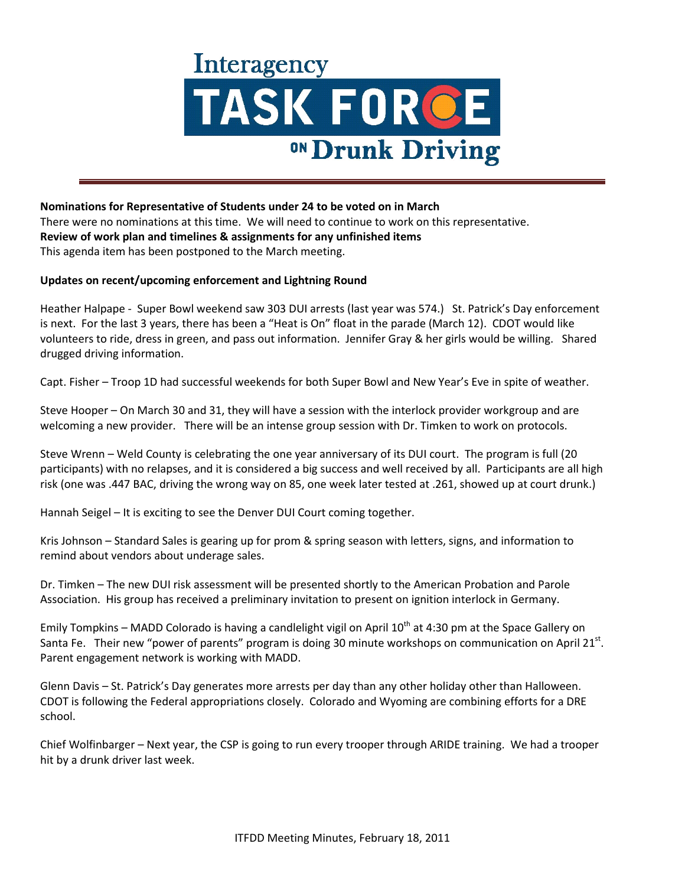

**Nominations for Representative of Students under 24 to be voted on in March**  There were no nominations at this time. We will need to continue to work on this representative. **Review of work plan and timelines & assignments for any unfinished items** This agenda item has been postponed to the March meeting.

#### **Updates on recent/upcoming enforcement and Lightning Round**

Heather Halpape - Super Bowl weekend saw 303 DUI arrests (last year was 574.) St. Patrick's Day enforcement is next. For the last 3 years, there has been a "Heat is On" float in the parade (March 12). CDOT would like volunteers to ride, dress in green, and pass out information. Jennifer Gray & her girls would be willing. Shared drugged driving information.

Capt. Fisher – Troop 1D had successful weekends for both Super Bowl and New Year's Eve in spite of weather.

Steve Hooper – On March 30 and 31, they will have a session with the interlock provider workgroup and are welcoming a new provider. There will be an intense group session with Dr. Timken to work on protocols.

Steve Wrenn – Weld County is celebrating the one year anniversary of its DUI court. The program is full (20 participants) with no relapses, and it is considered a big success and well received by all. Participants are all high risk (one was .447 BAC, driving the wrong way on 85, one week later tested at .261, showed up at court drunk.)

Hannah Seigel – It is exciting to see the Denver DUI Court coming together.

Kris Johnson – Standard Sales is gearing up for prom & spring season with letters, signs, and information to remind about vendors about underage sales.

Dr. Timken – The new DUI risk assessment will be presented shortly to the American Probation and Parole Association. His group has received a preliminary invitation to present on ignition interlock in Germany.

Emily Tompkins – MADD Colorado is having a candlelight vigil on April  $10^{th}$  at 4:30 pm at the Space Gallery on Santa Fe. Their new "power of parents" program is doing 30 minute workshops on communication on April 21st. Parent engagement network is working with MADD.

Glenn Davis – St. Patrick's Day generates more arrests per day than any other holiday other than Halloween. CDOT is following the Federal appropriations closely. Colorado and Wyoming are combining efforts for a DRE school.

Chief Wolfinbarger – Next year, the CSP is going to run every trooper through ARIDE training. We had a trooper hit by a drunk driver last week.